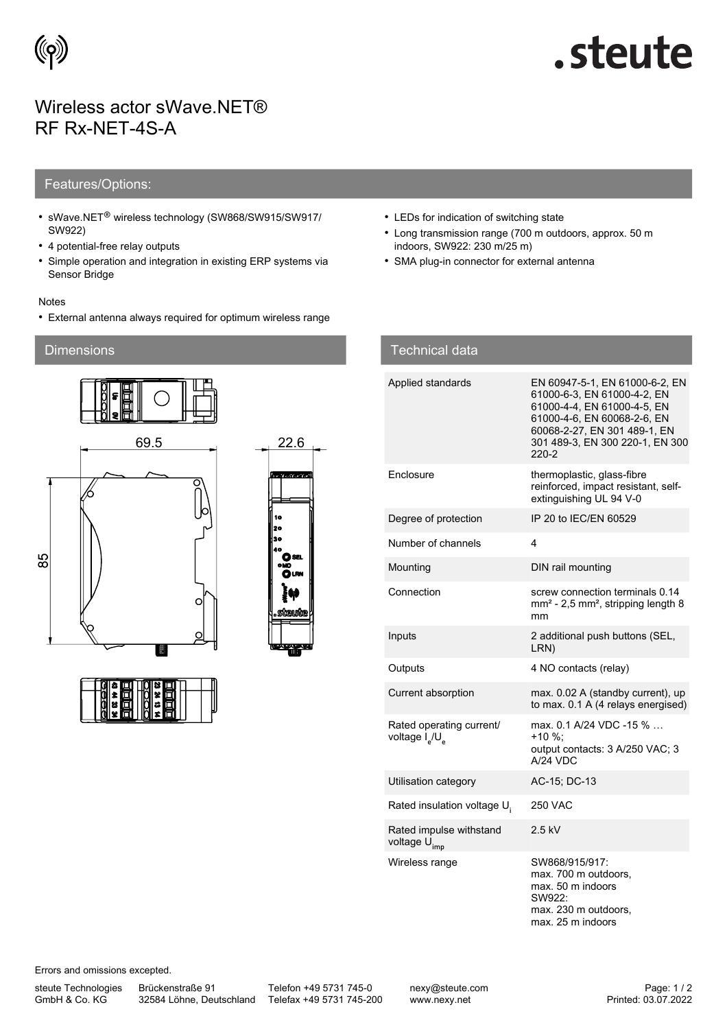

# steute.

## Wireless actor sWave.NET® RF Rx-NET-4S-A

### Features/Options:

- sWave.NET® wireless technology (SW868/SW915/SW917/ SW922)
- 4 potential-free relay outputs
- Simple operation and integration in existing ERP systems via Sensor Bridge

#### Notes

• External antenna always required for optimum wireless range

### **Dimensions**





• LEDs for indication of switching state

Technical data

- Long transmission range (700 m outdoors, approx. 50 m indoors, SW922: 230 m/25 m)
- SMA plug-in connector for external antenna

| i euliliudi udla                                                   |                                                                                                                                                                                                         |
|--------------------------------------------------------------------|---------------------------------------------------------------------------------------------------------------------------------------------------------------------------------------------------------|
| Applied standards                                                  | EN 60947-5-1, EN 61000-6-2, EN<br>61000-6-3, EN 61000-4-2, EN<br>61000-4-4, EN 61000-4-5, EN<br>61000-4-6, EN 60068-2-6, EN<br>60068-2-27, EN 301 489-1, EN<br>301 489-3, EN 300 220-1, EN 300<br>220-2 |
| Enclosure                                                          | thermoplastic, glass-fibre<br>reinforced, impact resistant, self-<br>extinguishing UL 94 V-0                                                                                                            |
| Degree of protection                                               | IP 20 to IEC/EN 60529                                                                                                                                                                                   |
| Number of channels                                                 | 4                                                                                                                                                                                                       |
| Mounting                                                           | DIN rail mounting                                                                                                                                                                                       |
| Connection                                                         | screw connection terminals 0.14<br>$mm2$ - 2,5 mm <sup>2</sup> , stripping length 8<br>mm                                                                                                               |
| Inputs                                                             | 2 additional push buttons (SEL,<br>LRN)                                                                                                                                                                 |
| Outputs                                                            | 4 NO contacts (relay)                                                                                                                                                                                   |
| Current absorption                                                 | max. 0.02 A (standby current), up<br>to max. 0.1 A (4 relays energised)                                                                                                                                 |
| Rated operating current/<br>voltage I <sub>a</sub> /U <sub>a</sub> | max. 0.1 A/24 VDC -15 %<br>+10 %:<br>output contacts: 3 A/250 VAC; 3<br>$A/24$ VDC                                                                                                                      |
| Utilisation category                                               | AC-15; DC-13                                                                                                                                                                                            |
| Rated insulation voltage U.                                        | <b>250 VAC</b>                                                                                                                                                                                          |
| Rated impulse withstand<br>voltage U <sub>imp</sub>                | $2.5$ kV                                                                                                                                                                                                |
| Wireless range                                                     | SW868/915/917:<br>max. 700 m outdoors,<br>max. 50 m indoors<br>SW922:                                                                                                                                   |

Errors and omissions excepted.

steute Technologies GmbH & Co. KG

Brückenstraße 91

32584 Löhne, Deutschland Telefax +49 5731 745-200 Telefon +49 5731 745-0

max. 230 m outdoors, max. 25 m indoors